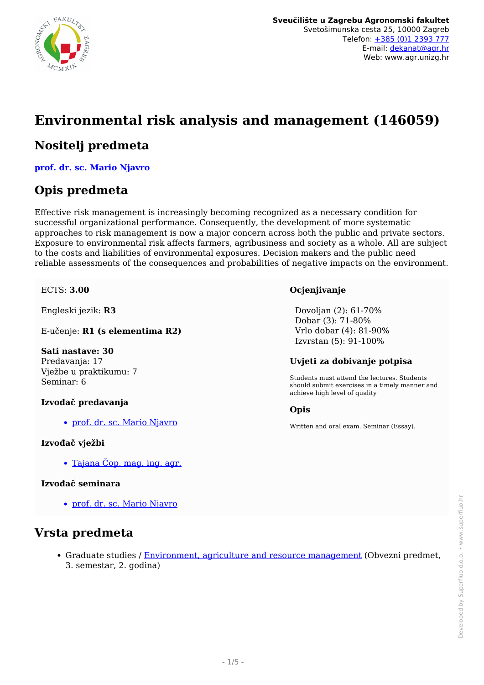

# **Environmental risk analysis and management (146059)**

### **Nositelj predmeta**

**[prof. dr. sc. Mario Njavro](/hr/member/118)**

### **Opis predmeta**

Effective risk management is increasingly becoming recognized as a necessary condition for successful organizational performance. Consequently, the development of more systematic approaches to risk management is now a major concern across both the public and private sectors. Exposure to environmental risk affects farmers, agribusiness and society as a whole. All are subject to the costs and liabilities of environmental exposures. Decision makers and the public need reliable assessments of the consequences and probabilities of negative impacts on the environment.

ECTS: **3.00**

Engleski jezik: **R3**

E-učenje: **R1 (s elementima R2)**

#### **Sati nastave: 30**

Predavanja: 17 Vježbe u praktikumu: 7 Seminar: 6

#### **Izvođač predavanja**

[prof. dr. sc. Mario Njavro](/hr/member/118)

#### **Izvođač vježbi**

[Tajana Čop, mag. ing. agr.](/hr/member/369)

#### **Izvođač seminara**

[prof. dr. sc. Mario Njavro](/hr/member/118)

### **Vrsta predmeta**

• Graduate studies / [Environment, agriculture and resource management](/hr/study/en/3/Environment%2C+agriculture+and+resource+management) (Obvezni predmet, 3. semestar, 2. godina)

#### **Ocjenjivanje**

 Dovoljan (2): 61-70% Dobar (3): 71-80% Vrlo dobar (4): 81-90% Izvrstan (5): 91-100%

#### **Uvjeti za dobivanje potpisa**

Students must attend the lectures. Students should submit exercises in a timely manner and achieve high level of quality

#### **Opis**

Written and oral exam. Seminar (Essay).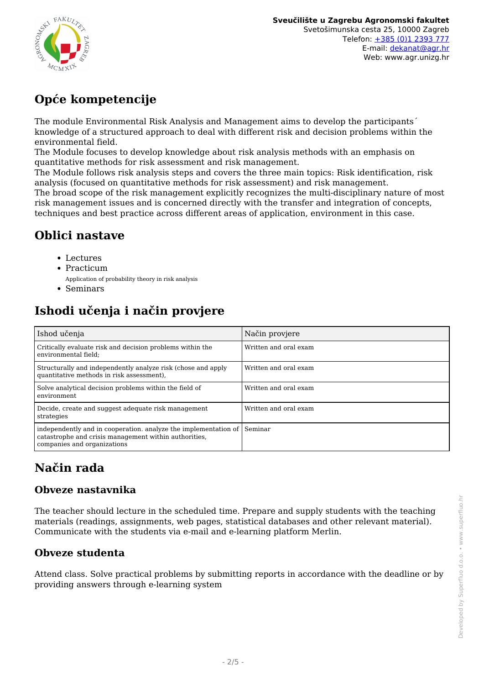

# **Opće kompetencije**

The module Environmental Risk Analysis and Management aims to develop the participants´ knowledge of a structured approach to deal with different risk and decision problems within the environmental field.

The Module focuses to develop knowledge about risk analysis methods with an emphasis on quantitative methods for risk assessment and risk management.

The Module follows risk analysis steps and covers the three main topics: Risk identification, risk analysis (focused on quantitative methods for risk assessment) and risk management.

The broad scope of the risk management explicitly recognizes the multi-disciplinary nature of most risk management issues and is concerned directly with the transfer and integration of concepts, techniques and best practice across different areas of application, environment in this case.

## **Oblici nastave**

- Lectures
- Practicum
- Application of probability theory in risk analysis
- Seminars

## **Ishodi učenja i način provjere**

| Ishod učenja                                                                                                                                                    | Način provjere        |
|-----------------------------------------------------------------------------------------------------------------------------------------------------------------|-----------------------|
| Critically evaluate risk and decision problems within the<br>environmental field:                                                                               | Written and oral exam |
| Structurally and independently analyze risk (chose and apply<br>quantitative methods in risk assessment),                                                       | Written and oral exam |
| Solve analytical decision problems within the field of<br>environment                                                                                           | Written and oral exam |
| Decide, create and suggest adequate risk management<br>strategies                                                                                               | Written and oral exam |
| independently and in cooperation. analyze the implementation of Seminar<br>catastrophe and crisis management within authorities.<br>companies and organizations |                       |

# **Način rada**

### **Obveze nastavnika**

The teacher should lecture in the scheduled time. Prepare and supply students with the teaching materials (readings, assignments, web pages, statistical databases and other relevant material). Communicate with the students via e-mail and e-learning platform Merlin.

### **Obveze studenta**

Attend class. Solve practical problems by submitting reports in accordance with the deadline or by providing answers through e-learning system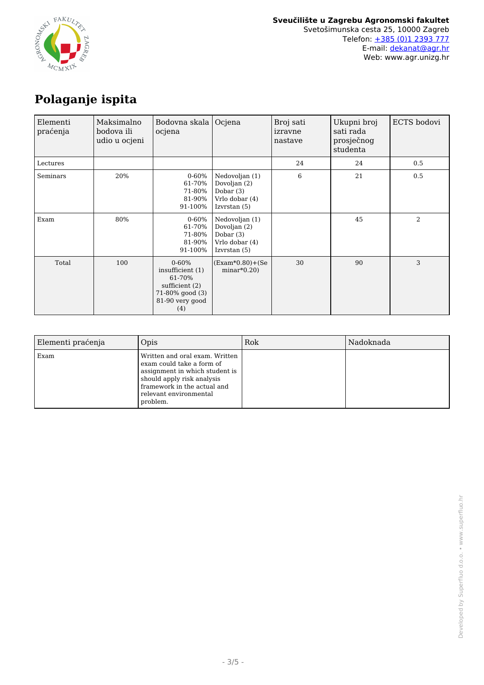

## **Polaganje ispita**

| Elementi<br>praćenja | Maksimalno<br>bodova ili<br>udio u ocjeni | Bodovna skala<br>ocjena                                                                                  | Ocjena                                                                          | Broj sati<br>izravne<br>nastave | Ukupni broj<br>sati rada<br>prosječnog<br>studenta | ECTS bodovi    |
|----------------------|-------------------------------------------|----------------------------------------------------------------------------------------------------------|---------------------------------------------------------------------------------|---------------------------------|----------------------------------------------------|----------------|
| Lectures             |                                           |                                                                                                          |                                                                                 | 24                              | 24                                                 | 0.5            |
| Seminars             | 20%                                       | $0 - 60%$<br>61-70%<br>71-80%<br>81-90%<br>91-100%                                                       | Nedovoljan (1)<br>Dovoljan (2)<br>Dobar $(3)$<br>Vrlo dobar (4)<br>Izvrstan (5) | 6                               | 21                                                 | 0.5            |
| Exam                 | 80%                                       | $0 - 60%$<br>61-70%<br>71-80%<br>81-90%<br>91-100%                                                       | Nedovoljan (1)<br>Dovoljan (2)<br>Dobar $(3)$<br>Vrlo dobar (4)<br>Izvrstan (5) |                                 | 45                                                 | $\overline{2}$ |
| Total                | 100                                       | $0 - 60%$<br>insufficient (1)<br>61-70%<br>sufficient $(2)$<br>71-80% good (3)<br>81-90 very good<br>(4) | (Exam*0.80)+(Se<br>$minar*0.20$                                                 | 30                              | 90                                                 | 3              |

| Elementi praćenja | Opis                                                                                                                                                                                             | Rok | Nadoknada |
|-------------------|--------------------------------------------------------------------------------------------------------------------------------------------------------------------------------------------------|-----|-----------|
| Exam              | Written and oral exam. Written<br>exam could take a form of<br>assignment in which student is<br>should apply risk analysis<br>framework in the actual and<br>relevant environmental<br>problem. |     |           |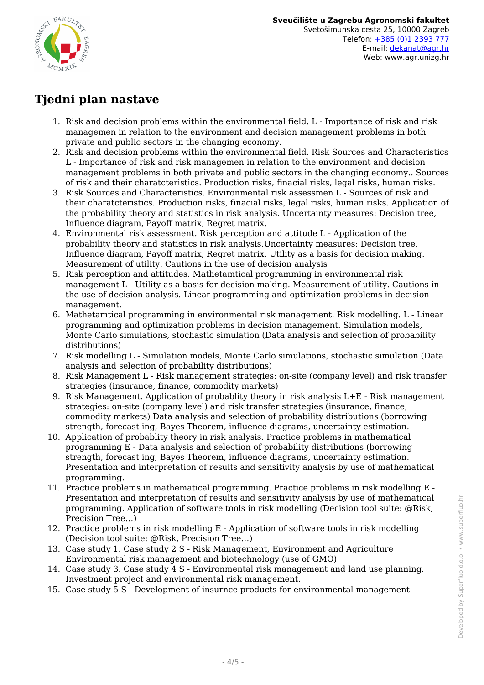

## **Tjedni plan nastave**

- 1. Risk and decision problems within the environmental field. L Importance of risk and risk managemen in relation to the environment and decision management problems in both private and public sectors in the changing economy.
- 2. Risk and decision problems within the environmental field. Risk Sources and Characteristics L - Importance of risk and risk managemen in relation to the environment and decision management problems in both private and public sectors in the changing economy.. Sources of risk and their charatcteristics. Production risks, finacial risks, legal risks, human risks.
- 3. Risk Sources and Characteristics. Environmental risk assessmen L Sources of risk and their charatcteristics. Production risks, finacial risks, legal risks, human risks. Application of the probability theory and statistics in risk analysis. Uncertainty measures: Decision tree, Influence diagram, Payoff matrix, Regret matrix.
- 4. Environmental risk assessment. Risk perception and attitude L Application of the probability theory and statistics in risk analysis.Uncertainty measures: Decision tree, Influence diagram, Payoff matrix, Regret matrix. Utility as a basis for decision making. Measurement of utility. Cautions in the use of decision analysis
- 5. Risk perception and attitudes. Mathetamtical programming in environmental risk management L - Utility as a basis for decision making. Measurement of utility. Cautions in the use of decision analysis. Linear programming and optimization problems in decision management.
- 6. Mathetamtical programming in environmental risk management. Risk modelling. L Linear programming and optimization problems in decision management. Simulation models, Monte Carlo simulations, stochastic simulation (Data analysis and selection of probability distributions)
- 7. Risk modelling L Simulation models, Monte Carlo simulations, stochastic simulation (Data analysis and selection of probability distributions)
- 8. Risk Management L Risk management strategies: on-site (company level) and risk transfer strategies (insurance, finance, commodity markets)
- 9. Risk Management. Application of probablity theory in risk analysis L+E Risk management strategies: on-site (company level) and risk transfer strategies (insurance, finance, commodity markets) Data analysis and selection of probability distributions (borrowing strength, forecast ing, Bayes Theorem, influence diagrams, uncertainty estimation.
- 10. Application of probablity theory in risk analysis. Practice problems in mathematical programming E - Data analysis and selection of probability distributions (borrowing strength, forecast ing, Bayes Theorem, influence diagrams, uncertainty estimation. Presentation and interpretation of results and sensitivity analysis by use of mathematical programming.
- 11. Practice problems in mathematical programming. Practice problems in risk modelling E Presentation and interpretation of results and sensitivity analysis by use of mathematical programming. Application of software tools in risk modelling (Decision tool suite: @Risk, Precision Tree…)
- 12. Practice problems in risk modelling E Application of software tools in risk modelling (Decision tool suite: @Risk, Precision Tree…)
- 13. Case study 1. Case study 2 S Risk Management, Environment and Agriculture Environmental risk management and biotechnology (use of GMO)
- 14. Case study 3. Case study 4 S Environmental risk management and land use planning. Investment project and environmental risk management.
- 15. Case study 5 S Development of insurnce products for environmental management